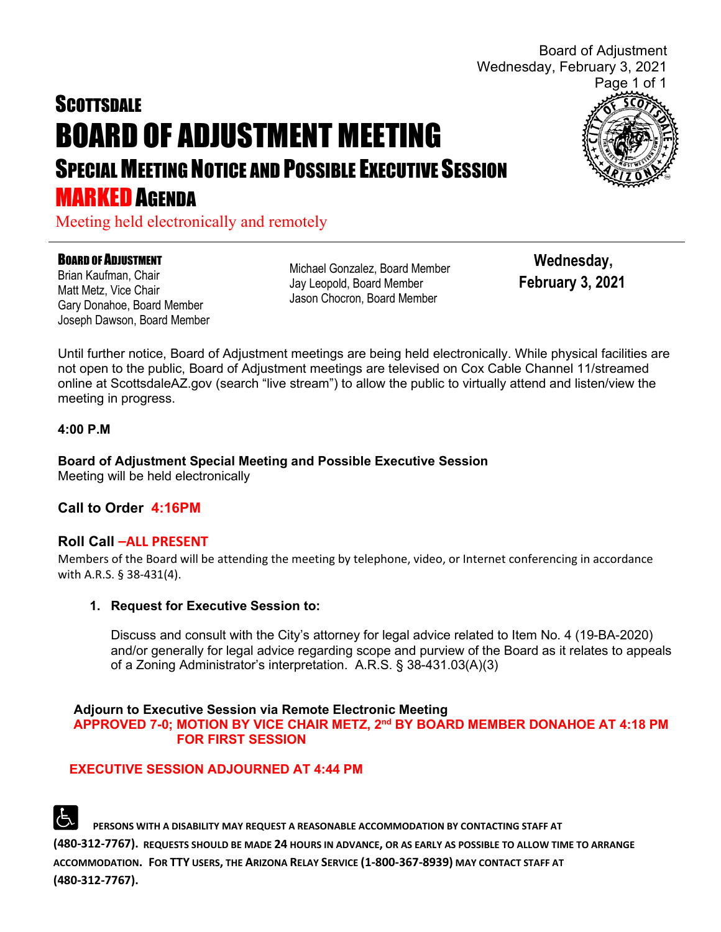**SCOTTSDALE** BOARD OF ADJUSTMENT MEETING SPECIAL MEETING NOTICE AND POSSIBLE EXECUTIVE SESSION **MARKED AGENDA** 



Board of Adjustment

Meeting held electronically and remotely

#### BOARD OF ADJUSTMENT

Brian Kaufman, Chair Matt Metz, Vice Chair Gary Donahoe, Board Member Joseph Dawson, Board Member Michael Gonzalez, Board Member Jay Leopold, Board Member Jason Chocron, Board Member

 **Wednesday, February 3, 2021**

Until further notice, Board of Adjustment meetings are being held electronically. While physical facilities are not open to the public, Board of Adjustment meetings are televised on Cox Cable Channel 11/streamed online at ScottsdaleAZ.gov (search "live stream") to allow the public to virtually attend and listen/view the meeting in progress.

### **4:00 P.M**

**Board of Adjustment Special Meeting and Possible Executive Session** Meeting will be held electronically

# **Call to Order 4:16PM**

## **Roll Call –ALL PRESENT**

Members of the Board will be attending the meeting by telephone, video, or Internet conferencing in accordance with A.R.S. § 38-431(4).

## **1. Request for Executive Session to:**

Discuss and consult with the City's attorney for legal advice related to Item No. 4 (19-BA-2020) and/or generally for legal advice regarding scope and purview of the Board as it relates to appeals of a Zoning Administrator's interpretation. A.R.S. § 38-431.03(A)(3)

#### **Adjourn to Executive Session via Remote Electronic Meeting APPROVED 7-0; MOTION BY VICE CHAIR METZ, 2nd BY BOARD MEMBER DONAHOE AT 4:18 PM FOR FIRST SESSION**

# **EXECUTIVE SESSION ADJOURNED AT 4:44 PM**

 **PERSONS WITH A DISABILITY MAY REQUEST A REASONABLE ACCOMMODATION BY CONTACTING STAFF AT (480-312-7767). REQUESTS SHOULD BE MADE 24 HOURS IN ADVANCE, OR AS EARLY AS POSSIBLE TO ALLOW TIME TO ARRANGE ACCOMMODATION. FOR TTY USERS, THE ARIZONA RELAY SERVICE (1-800-367-8939) MAY CONTACT STAFF AT (480-312-7767).**